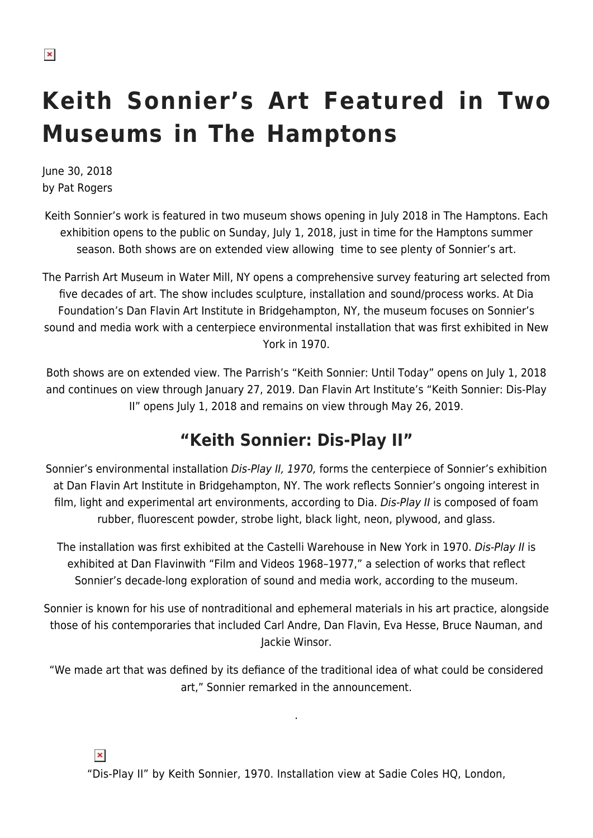# **Keith Sonnier's Art Featured in Two Museums in The Hamptons**

June 30, 2018 by Pat Rogers

Keith Sonnier's work is featured in two museum shows opening in July 2018 in The Hamptons. Each exhibition opens to the public on Sunday, July 1, 2018, just in time for the Hamptons summer season. Both shows are on extended view allowing time to see plenty of Sonnier's art.

The Parrish Art Museum in Water Mill, NY opens a comprehensive survey featuring art selected from five decades of art. The show includes sculpture, installation and sound/process works. At Dia Foundation's Dan Flavin Art Institute in Bridgehampton, NY, the museum focuses on Sonnier's sound and media work with a centerpiece environmental installation that was first exhibited in New York in 1970.

Both shows are on extended view. The Parrish's "Keith Sonnier: Until Today" opens on July 1, 2018 and continues on view through January 27, 2019. Dan Flavin Art Institute's "Keith Sonnier: Dis-Play II" opens July 1, 2018 and remains on view through May 26, 2019.

## **"Keith Sonnier: Dis-Play II"**

Sonnier's environmental installation Dis-Play II, 1970, forms the centerpiece of Sonnier's exhibition at Dan Flavin Art Institute in Bridgehampton, NY. The work reflects Sonnier's ongoing interest in film, light and experimental art environments, according to Dia. Dis-Play II is composed of foam rubber, fluorescent powder, strobe light, black light, neon, plywood, and glass.

The installation was first exhibited at the Castelli Warehouse in New York in 1970. Dis-Play II is exhibited at Dan Flavinwith "Film and Videos 1968–1977," a selection of works that reflect Sonnier's decade-long exploration of sound and media work, according to the museum.

Sonnier is known for his use of nontraditional and ephemeral materials in his art practice, alongside those of his contemporaries that included Carl Andre, Dan Flavin, Eva Hesse, Bruce Nauman, and Jackie Winsor.

"We made art that was defined by its defiance of the traditional idea of what could be considered art," Sonnier remarked in the announcement.

.

 $\pmb{\times}$ 

"Dis-Play II" by Keith Sonnier, 1970. Installation view at Sadie Coles HQ, London,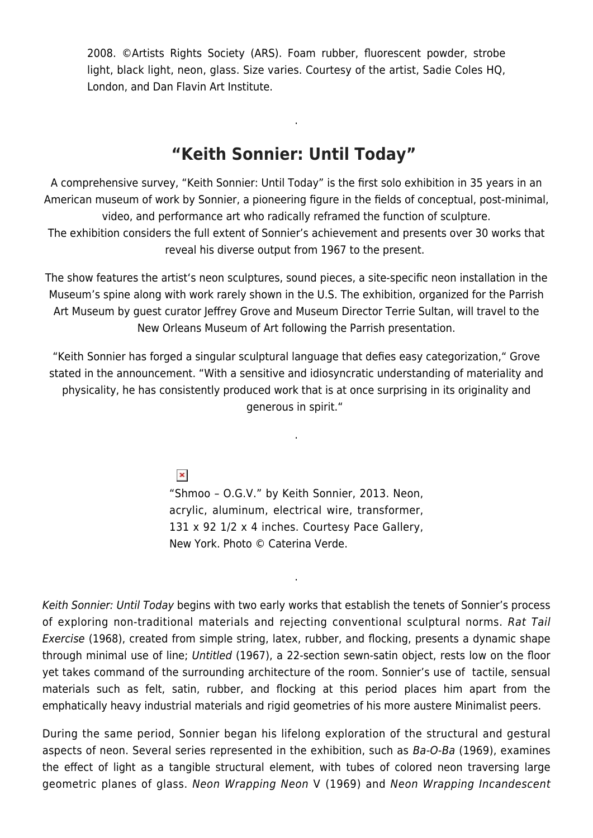2008. ©Artists Rights Society (ARS). Foam rubber, fluorescent powder, strobe light, black light, neon, glass. Size varies. Courtesy of the artist, Sadie Coles HQ, London, and Dan Flavin Art Institute.

#### **"Keith Sonnier: Until Today"**

.

A comprehensive survey, "Keith Sonnier: Until Today" is the first solo exhibition in 35 years in an American museum of work by Sonnier, a pioneering figure in the fields of conceptual, post-minimal, video, and performance art who radically reframed the function of sculpture. The exhibition considers the full extent of Sonnier's achievement and presents over 30 works that reveal his diverse output from 1967 to the present.

The show features the artist's neon sculptures, sound pieces, a site-specific neon installation in the Museum's spine along with work rarely shown in the U.S. The exhibition, organized for the Parrish Art Museum by quest curator Jeffrey Grove and Museum Director Terrie Sultan, will travel to the New Orleans Museum of Art following the Parrish presentation.

"Keith Sonnier has forged a singular sculptural language that defies easy categorization," Grove stated in the announcement. "With a sensitive and idiosyncratic understanding of materiality and physicality, he has consistently produced work that is at once surprising in its originality and generous in spirit."

.

 $\pmb{\times}$ 

"Shmoo – O.G.V." by Keith Sonnier, 2013. Neon, acrylic, aluminum, electrical wire, transformer, 131 x 92 1/2 x 4 inches. Courtesy Pace Gallery, New York. Photo © Caterina Verde.

.

Keith Sonnier: Until Today begins with two early works that establish the tenets of Sonnier's process of exploring non-traditional materials and rejecting conventional sculptural norms. Rat Tail Exercise (1968), created from simple string, latex, rubber, and flocking, presents a dynamic shape through minimal use of line; Untitled (1967), a 22-section sewn-satin object, rests low on the floor yet takes command of the surrounding architecture of the room. Sonnier's use of tactile, sensual materials such as felt, satin, rubber, and flocking at this period places him apart from the emphatically heavy industrial materials and rigid geometries of his more austere Minimalist peers.

During the same period, Sonnier began his lifelong exploration of the structural and gestural aspects of neon. Several series represented in the exhibition, such as Ba-O-Ba (1969), examines the effect of light as a tangible structural element, with tubes of colored neon traversing large geometric planes of glass. Neon Wrapping Neon V (1969) and Neon Wrapping Incandescent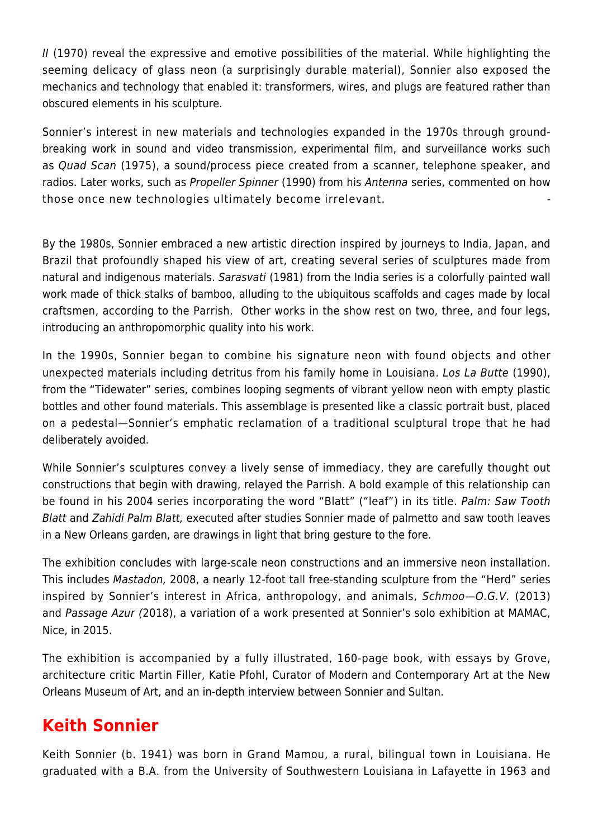II (1970) reveal the expressive and emotive possibilities of the material. While highlighting the seeming delicacy of glass neon (a surprisingly durable material), Sonnier also exposed the mechanics and technology that enabled it: transformers, wires, and plugs are featured rather than obscured elements in his sculpture.

Sonnier's interest in new materials and technologies expanded in the 1970s through groundbreaking work in sound and video transmission, experimental film, and surveillance works such as Quad Scan (1975), a sound/process piece created from a scanner, telephone speaker, and radios. Later works, such as Propeller Spinner (1990) from his Antenna series, commented on how those once new technologies ultimately become irrelevant. -

By the 1980s, Sonnier embraced a new artistic direction inspired by journeys to India, Japan, and Brazil that profoundly shaped his view of art, creating several series of sculptures made from natural and indigenous materials. Sarasvati (1981) from the India series is a colorfully painted wall work made of thick stalks of bamboo, alluding to the ubiquitous scaffolds and cages made by local craftsmen, according to the Parrish. Other works in the show rest on two, three, and four legs, introducing an anthropomorphic quality into his work.

In the 1990s, Sonnier began to combine his signature neon with found objects and other unexpected materials including detritus from his family home in Louisiana. Los La Butte (1990), from the "Tidewater" series, combines looping segments of vibrant yellow neon with empty plastic bottles and other found materials. This assemblage is presented like a classic portrait bust, placed on a pedestal—Sonnier's emphatic reclamation of a traditional sculptural trope that he had deliberately avoided.

While Sonnier's sculptures convey a lively sense of immediacy, they are carefully thought out constructions that begin with drawing, relayed the Parrish. A bold example of this relationship can be found in his 2004 series incorporating the word "Blatt" ("leaf") in its title. Palm: Saw Tooth Blatt and Zahidi Palm Blatt, executed after studies Sonnier made of palmetto and saw tooth leaves in a New Orleans garden, are drawings in light that bring gesture to the fore.

The exhibition concludes with large-scale neon constructions and an immersive neon installation. This includes Mastadon, 2008, a nearly 12-foot tall free-standing sculpture from the "Herd" series inspired by Sonnier's interest in Africa, anthropology, and animals, Schmoo—O.G.V. (2013) and Passage Azur (2018), a variation of a work presented at Sonnier's solo exhibition at MAMAC, Nice, in 2015.

The exhibition is accompanied by a fully illustrated, 160-page book, with essays by Grove, architecture critic Martin Filler, Katie Pfohl, Curator of Modern and Contemporary Art at the New Orleans Museum of Art, and an in-depth interview between Sonnier and Sultan.

## **Keith Sonnier**

Keith Sonnier (b. 1941) was born in Grand Mamou, a rural, bilingual town in Louisiana. He graduated with a B.A. from the University of Southwestern Louisiana in Lafayette in 1963 and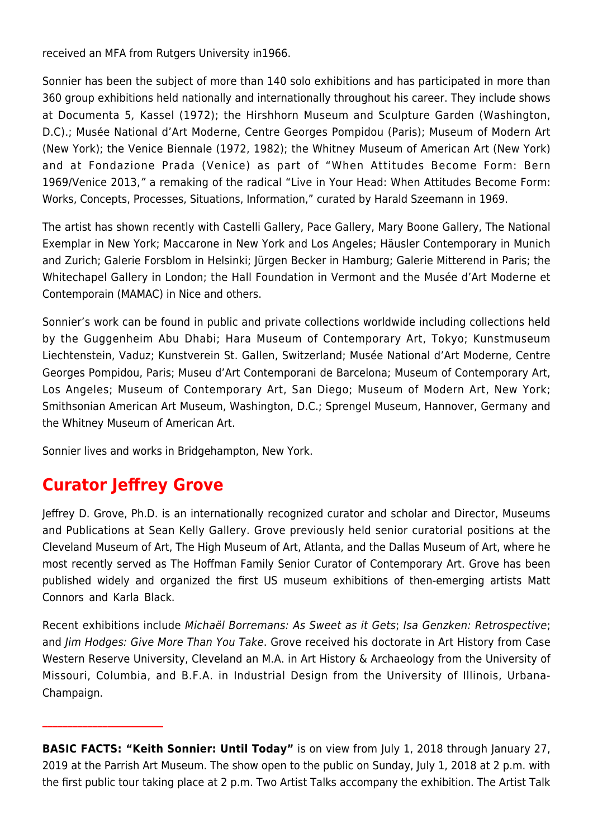received an MFA from Rutgers University in1966.

Sonnier has been the subject of more than 140 solo exhibitions and has participated in more than 360 group exhibitions held nationally and internationally throughout his career. They include shows at Documenta 5, Kassel (1972); the Hirshhorn Museum and Sculpture Garden (Washington, D.C).; Musée National d'Art Moderne, Centre Georges Pompidou (Paris); Museum of Modern Art (New York); the Venice Biennale (1972, 1982); the Whitney Museum of American Art (New York) and at Fondazione Prada (Venice) as part of "When Attitudes Become Form: Bern 1969/Venice 2013," a remaking of the radical "Live in Your Head: When Attitudes Become Form: Works, Concepts, Processes, Situations, Information," curated by Harald Szeemann in 1969.

The artist has shown recently with Castelli Gallery, Pace Gallery, Mary Boone Gallery, The National Exemplar in New York; Maccarone in New York and Los Angeles; Häusler Contemporary in Munich and Zurich; Galerie Forsblom in Helsinki; Jürgen Becker in Hamburg; Galerie Mitterend in Paris; the Whitechapel Gallery in London; the Hall Foundation in Vermont and the Musée d'Art Moderne et Contemporain (MAMAC) in Nice and others.

Sonnier's work can be found in public and private collections worldwide including collections held by the Guggenheim Abu Dhabi; Hara Museum of Contemporary Art, Tokyo; Kunstmuseum Liechtenstein, Vaduz; Kunstverein St. Gallen, Switzerland; Musée National d'Art Moderne, Centre Georges Pompidou, Paris; Museu d'Art Contemporani de Barcelona; Museum of Contemporary Art, Los Angeles; Museum of Contemporary Art, San Diego; Museum of Modern Art, New York; Smithsonian American Art Museum, Washington, D.C.; Sprengel Museum, Hannover, Germany and the Whitney Museum of American Art.

Sonnier lives and works in Bridgehampton, New York.

# **Curator Jeffrey Grove**

**\_\_\_\_\_\_\_\_\_\_\_\_\_\_\_\_\_\_\_\_\_\_\_\_**

Jeffrey D. Grove, Ph.D. is an internationally recognized curator and scholar and Director, Museums and Publications at Sean Kelly Gallery. Grove previously held senior curatorial positions at the Cleveland Museum of Art, The High Museum of Art, Atlanta, and the Dallas Museum of Art, where he most recently served as The Hoffman Family Senior Curator of Contemporary Art. Grove has been published widely and organized the first US museum exhibitions of then-emerging artists Matt Connors and Karla Black.

Recent exhibitions include Michaël Borremans: As Sweet as it Gets; Isa Genzken: Retrospective; and Jim Hodges: Give More Than You Take. Grove received his doctorate in Art History from Case Western Reserve University, Cleveland an M.A. in Art History & Archaeology from the University of Missouri, Columbia, and B.F.A. in Industrial Design from the University of Illinois, Urbana-Champaign.

**BASIC FACTS: "Keith Sonnier: Until Today"** is on view from July 1, 2018 through January 27, 2019 at the Parrish Art Museum. The show open to the public on Sunday, July 1, 2018 at 2 p.m. with the first public tour taking place at 2 p.m. Two Artist Talks accompany the exhibition. The Artist Talk